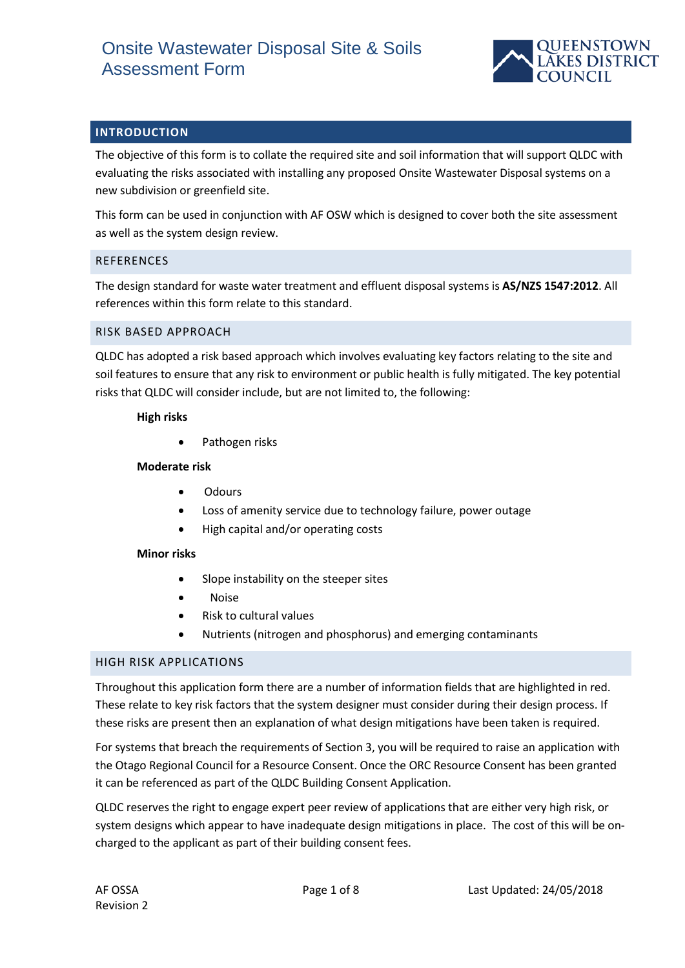

## **INTRODUCTION**

The objective of this form is to collate the required site and soil information that will support QLDC with evaluating the risks associated with installing any proposed Onsite Wastewater Disposal systems on a new subdivision or greenfield site.

This form can be used in conjunction with AF OSW which is designed to cover both the site assessment as well as the system design review.

### **REFERENCES**

The design standard for waste water treatment and effluent disposal systems is **AS/NZS 1547:2012**. All references within this form relate to this standard.

### RISK BASED APPROACH

QLDC has adopted a risk based approach which involves evaluating key factors relating to the site and soil features to ensure that any risk to environment or public health is fully mitigated. The key potential risks that QLDC will consider include, but are not limited to, the following:

#### **High risks**

• Pathogen risks

### **Moderate risk**

- Odours
- Loss of amenity service due to technology failure, power outage
- High capital and/or operating costs

#### **Minor risks**

- Slope instability on the steeper sites
- Noise
- Risk to cultural values
- Nutrients (nitrogen and phosphorus) and emerging contaminants

#### HIGH RISK APPLICATIONS

Throughout this application form there are a number of information fields that are highlighted in red. These relate to key risk factors that the system designer must consider during their design process. If these risks are present then an explanation of what design mitigations have been taken is required.

For systems that breach the requirements of Section 3, you will be required to raise an application with the Otago Regional Council for a Resource Consent. Once the ORC Resource Consent has been granted it can be referenced as part of the QLDC Building Consent Application.

QLDC reserves the right to engage expert peer review of applications that are either very high risk, or system designs which appear to have inadequate design mitigations in place. The cost of this will be oncharged to the applicant as part of their building consent fees.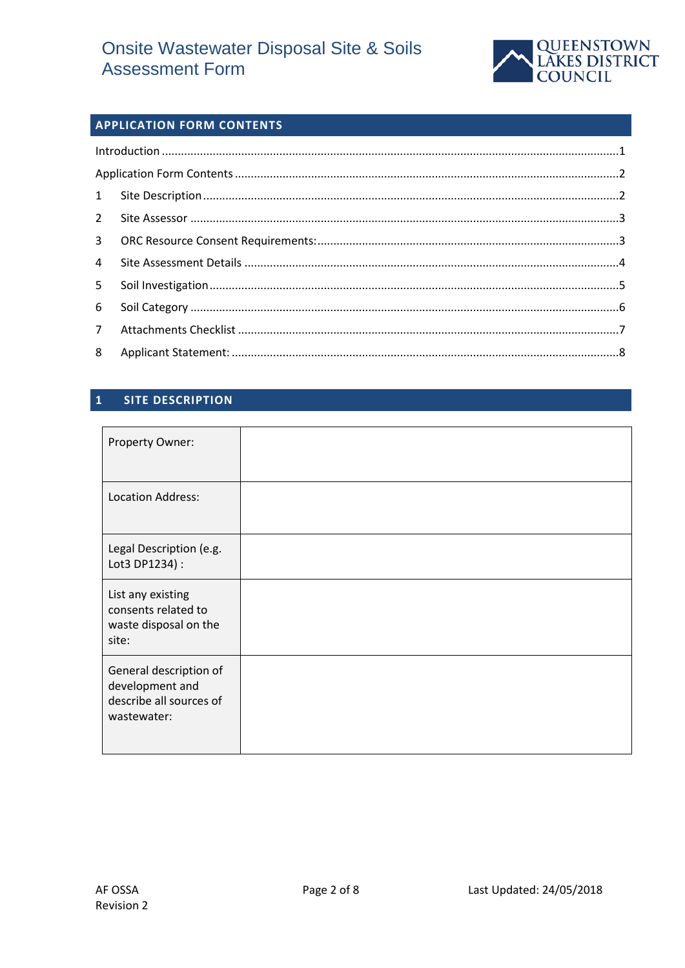

# **APPLICATION FORM CONTENTS**

| $\overline{4}$ |  |
|----------------|--|
| 5 <sup>7</sup> |  |
|                |  |
|                |  |
|                |  |

#### **SITE DESCRIPTION**  $\overline{\mathbf{1}}$

| Property Owner:                                                                     |  |
|-------------------------------------------------------------------------------------|--|
| <b>Location Address:</b>                                                            |  |
| Legal Description (e.g.<br>Lot3 DP1234) :                                           |  |
| List any existing<br>consents related to<br>waste disposal on the<br>site:          |  |
| General description of<br>development and<br>describe all sources of<br>wastewater: |  |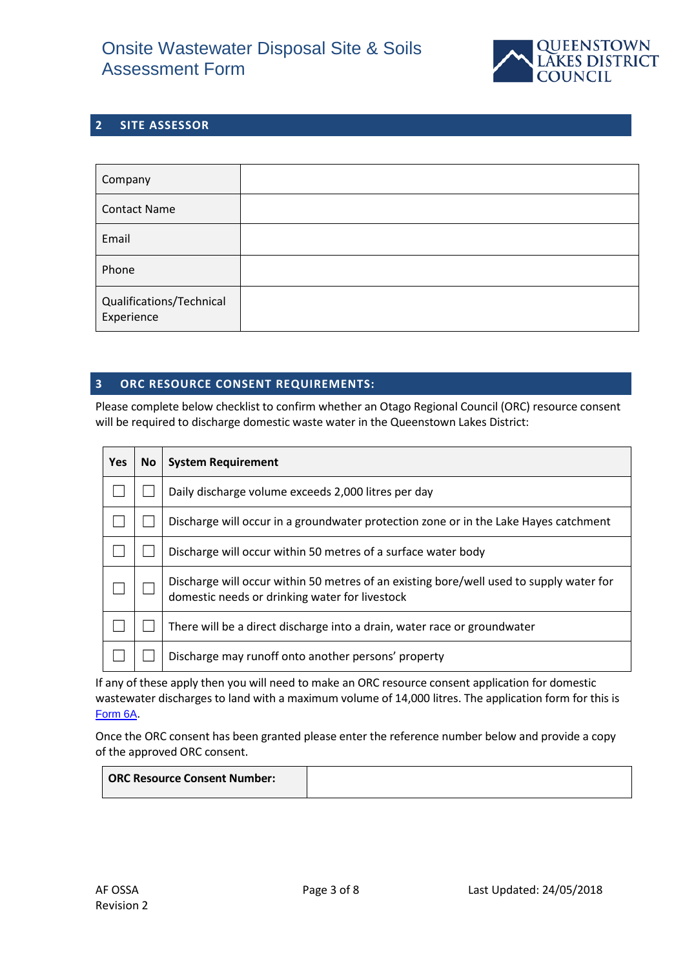

## **2 SITE ASSESSOR**

| Company                                |  |
|----------------------------------------|--|
| <b>Contact Name</b>                    |  |
| Email                                  |  |
| Phone                                  |  |
| Qualifications/Technical<br>Experience |  |

### **3 ORC RESOURCE CONSENT REQUIREMENTS:**

Please complete below checklist to confirm whether an Otago Regional Council (ORC) resource consent will be required to discharge domestic waste water in the Queenstown Lakes District:

| <b>Yes</b> | <b>No</b> | <b>System Requirement</b>                                                                                                                 |
|------------|-----------|-------------------------------------------------------------------------------------------------------------------------------------------|
|            |           | Daily discharge volume exceeds 2,000 litres per day                                                                                       |
|            |           | Discharge will occur in a groundwater protection zone or in the Lake Hayes catchment                                                      |
|            |           | Discharge will occur within 50 metres of a surface water body                                                                             |
|            |           | Discharge will occur within 50 metres of an existing bore/well used to supply water for<br>domestic needs or drinking water for livestock |
|            |           | There will be a direct discharge into a drain, water race or groundwater                                                                  |
|            |           | Discharge may runoff onto another persons' property                                                                                       |

If any of these apply then you will need to make an ORC resource consent application for domestic wastewater discharges to land with a maximum volume of 14,000 litres. The application form for this is [Form 6A](http://www.orc.govt.nz/Documents/Content/Information%20Services/Application%20Forms/Form%206A%20Wastewater%20Discharge%20to%20Land.pdf).

Once the ORC consent has been granted please enter the reference number below and provide a copy of the approved ORC consent.

| <b>ORC Resource Consent Number:</b> |  |
|-------------------------------------|--|
|                                     |  |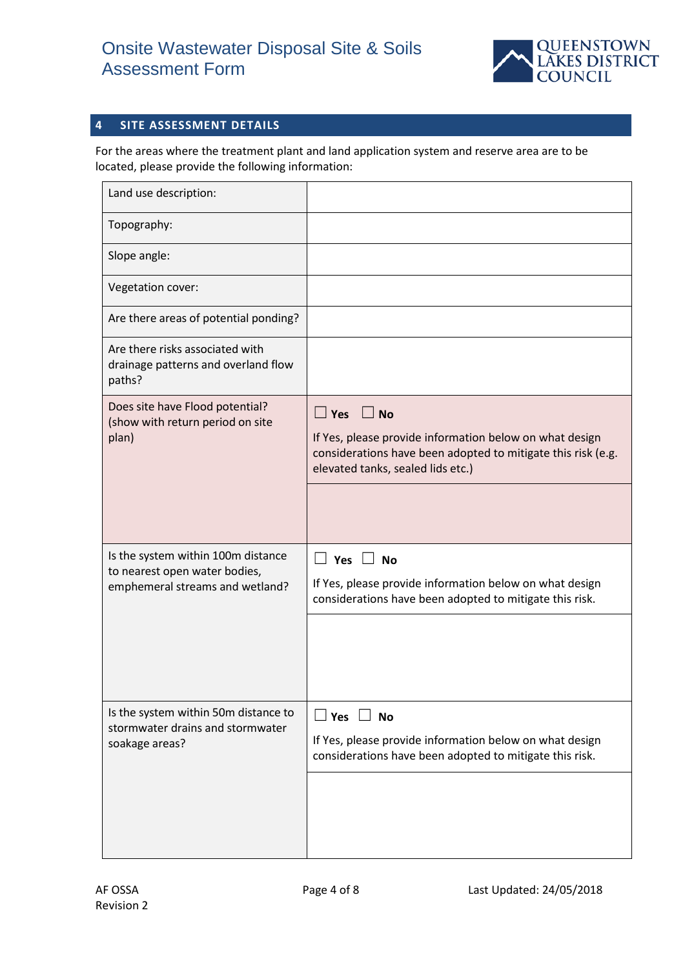

# **4 SITE ASSESSMENT DETAILS**

For the areas where the treatment plant and land application system and reserve area are to be located, please provide the following information:

| Land use description:                                                                                  |                                                                                                                                                                                      |
|--------------------------------------------------------------------------------------------------------|--------------------------------------------------------------------------------------------------------------------------------------------------------------------------------------|
| Topography:                                                                                            |                                                                                                                                                                                      |
| Slope angle:                                                                                           |                                                                                                                                                                                      |
| Vegetation cover:                                                                                      |                                                                                                                                                                                      |
| Are there areas of potential ponding?                                                                  |                                                                                                                                                                                      |
| Are there risks associated with<br>drainage patterns and overland flow<br>paths?                       |                                                                                                                                                                                      |
| Does site have Flood potential?<br>(show with return period on site<br>plan)                           | $\Box$ Yes $\Box$ No<br>If Yes, please provide information below on what design<br>considerations have been adopted to mitigate this risk (e.g.<br>elevated tanks, sealed lids etc.) |
| Is the system within 100m distance<br>to nearest open water bodies,<br>emphemeral streams and wetland? | Yes $\lfloor$<br>$\perp$ No<br>If Yes, please provide information below on what design<br>considerations have been adopted to mitigate this risk.                                    |
| Is the system within 50m distance to<br>stormwater drains and stormwater<br>soakage areas?             | $\Box$ Yes $\Box$ No<br>If Yes, please provide information below on what design<br>considerations have been adopted to mitigate this risk.                                           |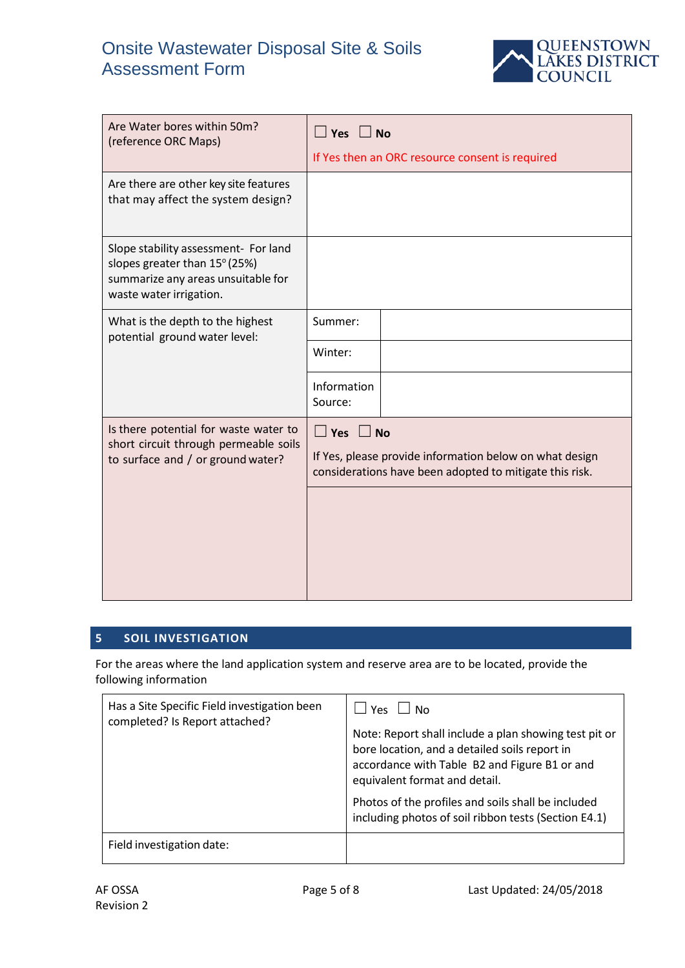

| Are Water bores within 50m?<br>(reference ORC Maps)                                                                                    | $\Box$ Yes $\Box$ No<br>If Yes then an ORC resource consent is required                                                                    |
|----------------------------------------------------------------------------------------------------------------------------------------|--------------------------------------------------------------------------------------------------------------------------------------------|
| Are there are other key site features<br>that may affect the system design?                                                            |                                                                                                                                            |
| Slope stability assessment- For land<br>slopes greater than 15° (25%)<br>summarize any areas unsuitable for<br>waste water irrigation. |                                                                                                                                            |
| What is the depth to the highest<br>potential ground water level:                                                                      | Summer:                                                                                                                                    |
|                                                                                                                                        | Winter:                                                                                                                                    |
|                                                                                                                                        | Information<br>Source:                                                                                                                     |
| Is there potential for waste water to<br>short circuit through permeable soils<br>to surface and / or ground water?                    | $\Box$ Yes $\Box$ No<br>If Yes, please provide information below on what design<br>considerations have been adopted to mitigate this risk. |

# **5 SOIL INVESTIGATION**

For the areas where the land application system and reserve area are to be located, provide the following information

| Has a Site Specific Field investigation been<br>completed? Is Report attached? | l Yes<br>l No<br>Note: Report shall include a plan showing test pit or<br>bore location, and a detailed soils report in<br>accordance with Table B2 and Figure B1 or and<br>equivalent format and detail.<br>Photos of the profiles and soils shall be included<br>including photos of soil ribbon tests (Section E4.1) |
|--------------------------------------------------------------------------------|-------------------------------------------------------------------------------------------------------------------------------------------------------------------------------------------------------------------------------------------------------------------------------------------------------------------------|
| Field investigation date:                                                      |                                                                                                                                                                                                                                                                                                                         |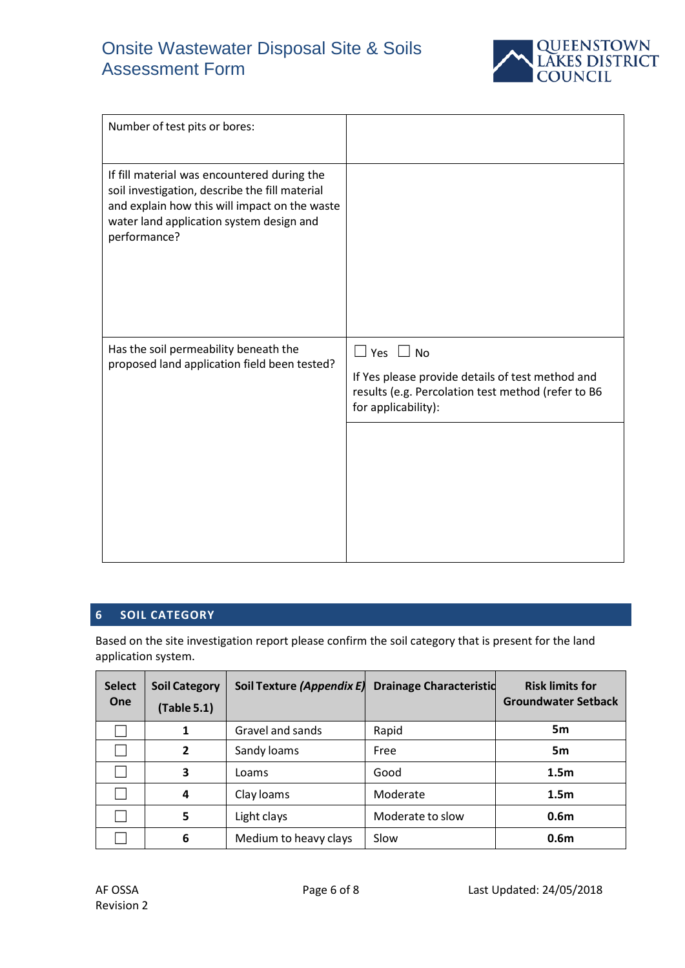

| Number of test pits or bores:                                                                                                                                                                              |                                                                                                                                                       |
|------------------------------------------------------------------------------------------------------------------------------------------------------------------------------------------------------------|-------------------------------------------------------------------------------------------------------------------------------------------------------|
| If fill material was encountered during the<br>soil investigation, describe the fill material<br>and explain how this will impact on the waste<br>water land application system design and<br>performance? |                                                                                                                                                       |
| Has the soil permeability beneath the<br>proposed land application field been tested?                                                                                                                      | $\Box$ Yes $\Box$ No<br>If Yes please provide details of test method and<br>results (e.g. Percolation test method (refer to B6<br>for applicability): |
|                                                                                                                                                                                                            |                                                                                                                                                       |

### **6 SOIL CATEGORY**

Based on the site investigation report please confirm the soil category that is present for the land application system.

| <b>Select</b><br><b>One</b> | <b>Soil Category</b><br>(Table 5.1) | Soil Texture (Appendix E) Drainage Characteristic |                  | <b>Risk limits for</b><br><b>Groundwater Setback</b> |
|-----------------------------|-------------------------------------|---------------------------------------------------|------------------|------------------------------------------------------|
|                             | $\mathbf{1}$                        | Gravel and sands                                  | Rapid            | 5 <sub>m</sub>                                       |
|                             | $\overline{2}$                      | Sandy loams                                       | Free             | 5 <sub>m</sub>                                       |
|                             | 3                                   | Loams                                             | Good             | 1.5 <sub>m</sub>                                     |
|                             | 4                                   | Clay loams                                        | Moderate         | 1.5 <sub>m</sub>                                     |
|                             | 5                                   | Light clays                                       | Moderate to slow | 0.6 <sub>m</sub>                                     |
|                             | 6                                   | Medium to heavy clays                             | Slow             | 0.6 <sub>m</sub>                                     |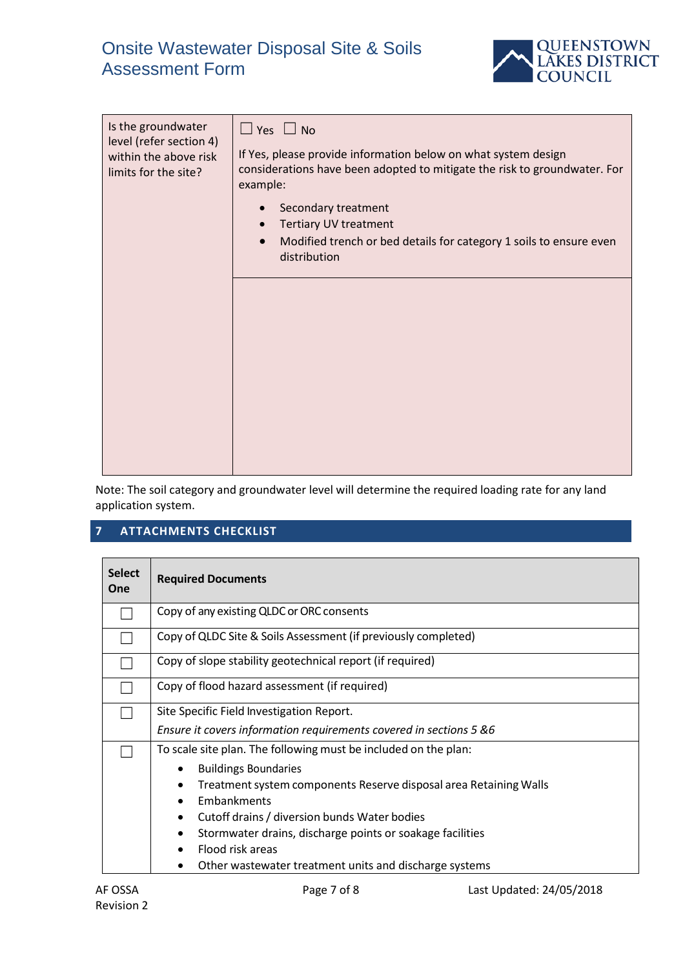

| Is the groundwater<br>level (refer section 4)<br>within the above risk<br>limits for the site? | $\Box$ Yes $\Box$ No<br>If Yes, please provide information below on what system design<br>considerations have been adopted to mitigate the risk to groundwater. For<br>example: |
|------------------------------------------------------------------------------------------------|---------------------------------------------------------------------------------------------------------------------------------------------------------------------------------|
|                                                                                                | Secondary treatment<br>$\bullet$<br><b>Tertiary UV treatment</b><br>$\bullet$                                                                                                   |
|                                                                                                | Modified trench or bed details for category 1 soils to ensure even<br>$\bullet$<br>distribution                                                                                 |
|                                                                                                |                                                                                                                                                                                 |
|                                                                                                |                                                                                                                                                                                 |
|                                                                                                |                                                                                                                                                                                 |
|                                                                                                |                                                                                                                                                                                 |
|                                                                                                |                                                                                                                                                                                 |

Note: The soil category and groundwater level will determine the required loading rate for any land application system.

# **7 ATTACHMENTS CHECKLIST**

| <b>Select</b><br>One | <b>Required Documents</b>                                          |  |  |
|----------------------|--------------------------------------------------------------------|--|--|
|                      | Copy of any existing QLDC or ORC consents                          |  |  |
|                      | Copy of QLDC Site & Soils Assessment (if previously completed)     |  |  |
|                      | Copy of slope stability geotechnical report (if required)          |  |  |
|                      | Copy of flood hazard assessment (if required)                      |  |  |
|                      | Site Specific Field Investigation Report.                          |  |  |
|                      | Ensure it covers information requirements covered in sections 5 &6 |  |  |
|                      | To scale site plan. The following must be included on the plan:    |  |  |
|                      | <b>Buildings Boundaries</b><br>٠                                   |  |  |
|                      | Treatment system components Reserve disposal area Retaining Walls  |  |  |
|                      | Embankments<br>$\bullet$                                           |  |  |
|                      | Cutoff drains / diversion bunds Water bodies                       |  |  |
|                      | Stormwater drains, discharge points or soakage facilities          |  |  |
|                      | Flood risk areas                                                   |  |  |
|                      | Other wastewater treatment units and discharge systems             |  |  |